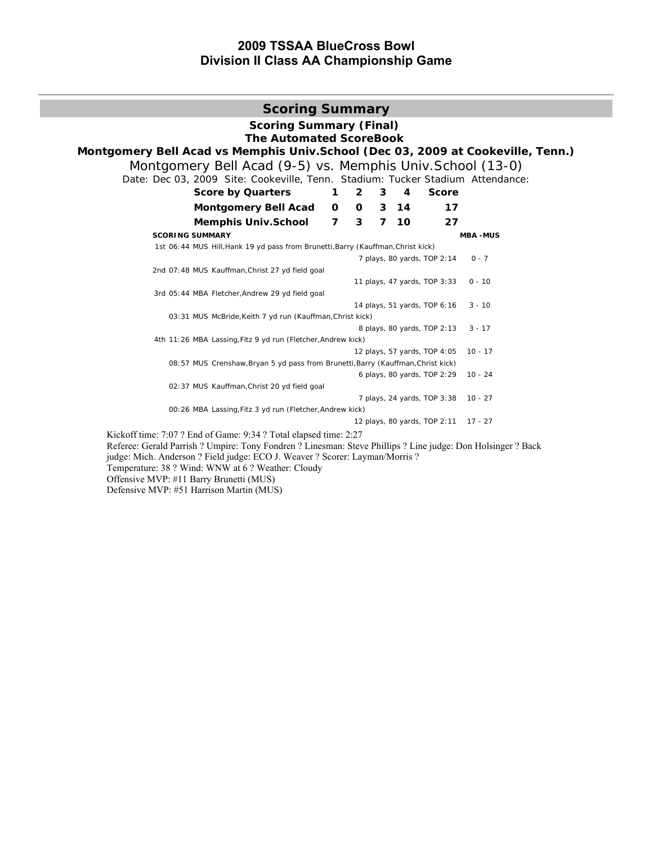# **2009 TSSAA BlueCross Bowl Division II Class AA Championship Game**

| <b>Scoring Summary</b>                                                                                                                  |                |              |                |      |                                      |                 |  |  |  |  |  |  |
|-----------------------------------------------------------------------------------------------------------------------------------------|----------------|--------------|----------------|------|--------------------------------------|-----------------|--|--|--|--|--|--|
| <b>Scoring Summary (Final)</b><br><b>The Automated ScoreBook</b>                                                                        |                |              |                |      |                                      |                 |  |  |  |  |  |  |
| Montgomery Bell Acad vs Memphis Univ. School (Dec 03, 2009 at Cookeville, Tenn.)                                                        |                |              |                |      |                                      |                 |  |  |  |  |  |  |
| Montgomery Bell Acad (9-5) vs. Memphis Univ. School (13-0)                                                                              |                |              |                |      |                                      |                 |  |  |  |  |  |  |
| Date: Dec 03, 2009 Site: Cookeville, Tenn. Stadium: Tucker Stadium Attendance:                                                          |                |              |                |      |                                      |                 |  |  |  |  |  |  |
| <b>Score by Quarters</b><br>$\overline{2}$<br>3<br><b>Score</b><br>4<br>1                                                               |                |              |                |      |                                      |                 |  |  |  |  |  |  |
| <b>Montgomery Bell Acad</b>                                                                                                             | 0              | $\mathbf{o}$ | $\mathbf{3}$   | - 14 | 17                                   |                 |  |  |  |  |  |  |
| <b>Memphis Univ.School</b>                                                                                                              | $\overline{7}$ | 3            | $\overline{7}$ | 10   | 27                                   |                 |  |  |  |  |  |  |
| <b>SCORING SUMMARY</b>                                                                                                                  |                |              |                |      |                                      | <b>MBA -MUS</b> |  |  |  |  |  |  |
| 1st 06:44 MUS Hill, Hank 19 yd pass from Brunetti, Barry (Kauffman, Christ kick)                                                        |                |              |                |      |                                      |                 |  |  |  |  |  |  |
|                                                                                                                                         |                |              |                |      | 7 plays, 80 yards, TOP 2:14          | $0 - 7$         |  |  |  |  |  |  |
| 2nd 07:48 MUS Kauffman, Christ 27 yd field goal                                                                                         |                |              |                |      |                                      |                 |  |  |  |  |  |  |
| 3rd 05:44 MBA Fletcher, Andrew 29 yd field goal                                                                                         |                |              |                |      | 11 plays, 47 yards, TOP 3:33         | $0 - 10$        |  |  |  |  |  |  |
|                                                                                                                                         |                |              |                |      | 14 plays, 51 yards, TOP 6:16         | $3 - 10$        |  |  |  |  |  |  |
| 03:31 MUS McBride, Keith 7 yd run (Kauffman, Christ kick)                                                                               |                |              |                |      |                                      |                 |  |  |  |  |  |  |
|                                                                                                                                         |                |              |                |      | 8 plays, 80 yards, TOP 2:13          | $3 - 17$        |  |  |  |  |  |  |
| 4th 11:26 MBA Lassing, Fitz 9 yd run (Fletcher, Andrew kick)                                                                            |                |              |                |      |                                      |                 |  |  |  |  |  |  |
|                                                                                                                                         |                |              |                |      | 12 plays, 57 yards, TOP 4:05         | $10 - 17$       |  |  |  |  |  |  |
| 08:57 MUS Crenshaw, Bryan 5 yd pass from Brunetti, Barry (Kauffman, Christ kick)                                                        |                |              |                |      |                                      |                 |  |  |  |  |  |  |
| 02:37 MUS Kauffman, Christ 20 yd field goal                                                                                             |                |              |                |      | 6 plays, 80 yards, TOP 2:29          | $10 - 24$       |  |  |  |  |  |  |
|                                                                                                                                         |                |              |                |      | 7 plays, 24 yards, TOP 3:38          | $10 - 27$       |  |  |  |  |  |  |
| 00:26 MBA Lassing, Fitz 3 yd run (Fletcher, Andrew kick)                                                                                |                |              |                |      |                                      |                 |  |  |  |  |  |  |
|                                                                                                                                         |                |              |                |      | 12 plays, 80 yards, TOP 2:11 17 - 27 |                 |  |  |  |  |  |  |
| Kickoff time: 7:07 ? End of Game: 9:34 ? Total elapsed time: 2:27                                                                       |                |              |                |      |                                      |                 |  |  |  |  |  |  |
| Referee: Gerald Parrish ? Umpire: Tony Fondren ? Linesman: Steve Phillips ? Line judge: Don Holsinger ? Back                            |                |              |                |      |                                      |                 |  |  |  |  |  |  |
| judge: Mich. Anderson ? Field judge: ECO J. Weaver ? Scorer: Layman/Morris ?<br>$T$ emperature: $28.2$ Wind: WNW at 6.2 Weather: Cloudy |                |              |                |      |                                      |                 |  |  |  |  |  |  |

Temperature: 38 ? Wind: WNW at 6 ? Weather: Cloudy

Offensive MVP: #11 Barry Brunetti (MUS)

Defensive MVP: #51 Harrison Martin (MUS)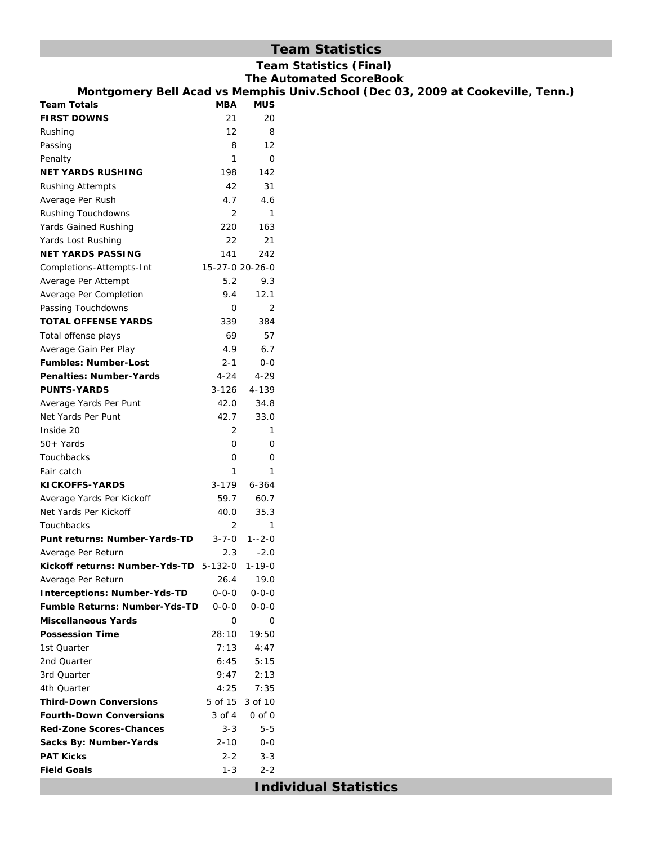# **Team Statistics**

|                                                                     |                     |                     | <b>Team Statistics (Final)</b><br><b>The Automated ScoreBook</b>                 |
|---------------------------------------------------------------------|---------------------|---------------------|----------------------------------------------------------------------------------|
|                                                                     |                     |                     | Montgomery Bell Acad vs Memphis Univ. School (Dec 03, 2009 at Cookeville, Tenn.) |
| <b>Team Totals</b>                                                  | MBA                 | <b>MUS</b>          |                                                                                  |
| <b>FIRST DOWNS</b>                                                  | 21                  | 20                  |                                                                                  |
| Rushing                                                             | 12                  | 8                   |                                                                                  |
| Passing                                                             | 8                   | 12                  |                                                                                  |
| Penalty                                                             | $\mathbf{1}$        | $\mathbf 0$         |                                                                                  |
| <b>NET YARDS RUSHING</b>                                            | 198                 | 142                 |                                                                                  |
| <b>Rushing Attempts</b>                                             | 42                  | 31                  |                                                                                  |
| Average Per Rush                                                    | 4.7                 | 4.6                 |                                                                                  |
| Rushing Touchdowns                                                  | 2                   | 1                   |                                                                                  |
| Yards Gained Rushing                                                | 220                 | 163                 |                                                                                  |
| Yards Lost Rushing                                                  | 22                  | 21                  |                                                                                  |
| <b>NET YARDS PASSING</b>                                            | 141                 | 242                 |                                                                                  |
| Completions-Attempts-Int                                            | 15-27-0 20-26-0     |                     |                                                                                  |
| Average Per Attempt                                                 | 5.2                 | 9.3                 |                                                                                  |
|                                                                     | 9.4                 | 12.1                |                                                                                  |
| Average Per Completion<br>Passing Touchdowns                        | 0                   | 2                   |                                                                                  |
| <b>TOTAL OFFENSE YARDS</b>                                          | 339                 | 384                 |                                                                                  |
|                                                                     | 69                  | 57                  |                                                                                  |
| Total offense plays                                                 | 4.9                 | 6.7                 |                                                                                  |
| Average Gain Per Play<br><b>Fumbles: Number-Lost</b>                |                     | $0 - 0$             |                                                                                  |
|                                                                     | 2-1                 |                     |                                                                                  |
| <b>Penalties: Number-Yards</b>                                      | $4 - 24$            | $4 - 29$            |                                                                                  |
| <b>PUNTS-YARDS</b>                                                  | $3 - 126$           | 4-139               |                                                                                  |
| Average Yards Per Punt                                              | 42.0                | 34.8                |                                                                                  |
| Net Yards Per Punt                                                  | 42.7                | 33.0                |                                                                                  |
| Inside 20                                                           | 2                   | 1                   |                                                                                  |
| $50+Yards$                                                          | 0                   | 0                   |                                                                                  |
| Touchbacks                                                          | 0<br>1              | 0<br>$\mathbf{1}$   |                                                                                  |
| Fair catch                                                          |                     |                     |                                                                                  |
| KICKOFFS-YARDS                                                      | $3 - 179$<br>59.7   | $6 - 364$<br>60.7   |                                                                                  |
| Average Yards Per Kickoff<br>Net Yards Per Kickoff                  | 40.0                | 35.3                |                                                                                  |
| Touchbacks                                                          | 2                   | 1                   |                                                                                  |
|                                                                     |                     |                     |                                                                                  |
| Punt returns: Number-Yards-TD                                       | 3-7-0               | 1--2-0              |                                                                                  |
| Average Per Return<br>Kickoff returns: Number-Yds-TD 5-132-0 1-19-0 | 2.3                 | $-2.0$              |                                                                                  |
|                                                                     |                     |                     |                                                                                  |
| Average Per Return<br><b>Interceptions: Number-Yds-TD</b>           | 26.4<br>$0 - 0 - 0$ | 19.0<br>$0 - 0 - 0$ |                                                                                  |
| <b>Fumble Returns: Number-Yds-TD</b>                                | 0-0-0               | $0 - 0 - 0$         |                                                                                  |
| <b>Miscellaneous Yards</b>                                          | $\mathbf{O}$        | 0                   |                                                                                  |
| <b>Possession Time</b>                                              |                     |                     |                                                                                  |
| 1st Quarter                                                         | 28:10<br>7:13       | 19:50<br>4:47       |                                                                                  |
| 2nd Quarter                                                         | 6:45                | 5:15                |                                                                                  |
| 3rd Quarter                                                         | 9:47                | 2:13                |                                                                                  |
| 4th Quarter                                                         | 4:25                | 7:35                |                                                                                  |
| <b>Third-Down Conversions</b>                                       |                     | 5 of 15 3 of 10     |                                                                                  |
| <b>Fourth-Down Conversions</b>                                      | 3 of 4              | $0$ of $0$          |                                                                                  |
| <b>Red-Zone Scores-Chances</b>                                      | $3 - 3$             | $5 - 5$             |                                                                                  |
| Sacks By: Number-Yards                                              | 2-10                | $0-0$               |                                                                                  |
| <b>PAT Kicks</b>                                                    | $2 - 2$             | $3 - 3$             |                                                                                  |
| <b>Field Goals</b>                                                  | $1 - 3$             | $2 - 2$             |                                                                                  |
|                                                                     |                     |                     |                                                                                  |
|                                                                     |                     |                     | <b>Individual Statistics</b>                                                     |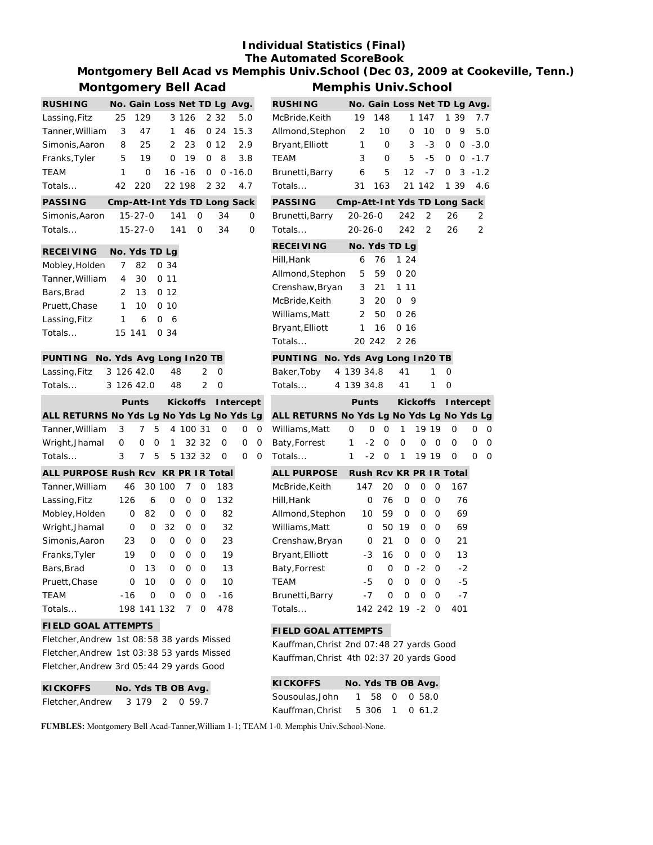# **Individual Statistics (Final) The Automated ScoreBook**

# **Montgomery Bell Acad vs Memphis Univ.School (Dec 03, 2009 at Cookeville, Tenn.) Montgomery Bell Acad**

| ויוטוונעטוווטו א די הייניקטוווי  |                |                              |                 |                 |               |       |                              |
|----------------------------------|----------------|------------------------------|-----------------|-----------------|---------------|-------|------------------------------|
| <b>RUSHING</b>                   |                | No. Gain Loss Net TD Lg Avg. |                 |                 |               |       |                              |
| Lassing, Fitz                    | 25             | 129                          |                 | 3 1 2 6         |               | 2 3 2 | 5.0                          |
| Tanner, William                  | 3              | 47                           | 1               | 46              |               |       | 0, 24, 15.3                  |
| Simonis, Aaron                   |                | 25<br>8                      | $\overline{2}$  | 23              |               | 0 12  | 2.9                          |
| Franks, Tyler                    | 5              | 19 <sup>7</sup>              | $\Omega$        | 19              | O             | 8     | 3.8                          |
| <b>TEAM</b>                      | 1              | 0                            |                 | 16 -16          | 0             |       | $0 - 16.0$                   |
| Totals                           | 42             | 220                          |                 | 22 198          |               | 2 3 2 | 4.7                          |
| <b>PASSING</b>                   |                |                              |                 |                 |               |       | Cmp-Att-Int Yds TD Long Sack |
| Simonis, Aaron                   |                | $15 - 27 - 0$                |                 | 141             | 0             | 34    | 0                            |
| Totals                           |                | $15 - 27 - 0$                |                 | 141             | O             | 34    | Ο                            |
| <b>RECEIVING</b>                 |                | No. Yds TD Lg                |                 |                 |               |       |                              |
| Mobley, Holden                   | 7              | 82                           | 0 34            |                 |               |       |                              |
| Tanner, William                  | 4              | 30                           | 011             |                 |               |       |                              |
| Bars, Brad                       | $\overline{2}$ | 13                           | 012             |                 |               |       |                              |
| Pruett, Chase                    | 1              | 10 <sup>1</sup>              | 0 <sub>10</sub> |                 |               |       |                              |
| Lassing, Fitz                    | 1              | 6                            | 0<br>6          |                 |               |       |                              |
| Totals                           |                | 15 141                       | 0 34            |                 |               |       |                              |
| PUNTING No. Yds Avg Long In20 TB |                |                              |                 |                 |               |       |                              |
| Lassing, Fitz                    |                | 3 126 42.0                   | 48              |                 | 2             | O     |                              |
| Totals                           |                | 3 126 42.0                   | 48              |                 | $\mathcal{P}$ | 0     |                              |
|                                  |                | <b>Punts</b>                 |                 | <b>Kickoffs</b> |               |       | Intercept                    |

|                                           |  |  |  | PUNTS KICKOTTS INTERCEPT |  |
|-------------------------------------------|--|--|--|--------------------------|--|
| ALL RETURNS No Yds Lg No Yds Lg No Yds Lg |  |  |  |                          |  |
| Tanner. William 3 7 5 4 100 31 0 0 0      |  |  |  |                          |  |
| Wright, Jhamal 0 0 0 1 32 32 0 0 0        |  |  |  |                          |  |
| Totals                                    |  |  |  | 3 7 5 5 132 32 0 0 0     |  |

| ALL PURPOSE Rush Rcv KR PR IR Total |     |          |        |   |          |     |
|-------------------------------------|-----|----------|--------|---|----------|-----|
| Tanner, William                     | 46  |          | 30 100 | 7 | O        | 183 |
| Lassing, Fitz                       | 126 | 6        | O      | Ω | O        | 132 |
| Mobley, Holden                      | O   | 82       | O      | U | O        | 82  |
| Wright, Jhamal                      | Ο   | O        | 32     | O | O        | 32  |
| Simonis, Aaron                      | 23  | O        | O      | U | O        | 23  |
| Franks, Tyler                       | 19  | $\Omega$ | U      | U | $\Omega$ | 19  |
| Bars, Brad                          | O   | 13       | O      | O | O        | 13  |
| Pruett, Chase                       | O   | 10       | U      | U | 0        | 10  |
| <b>TEAM</b>                         | -16 | O        | ∩      | U | 0        | -16 |
| Totals                              | 198 | 141      | 132    | 7 | O        | 478 |

### **FIELD GOAL ATTEMPTS**

Fletcher,Andrew 1st 08:58 38 yards Missed Fletcher,Andrew 1st 03:38 53 yards Missed Fletcher,Andrew 3rd 05:44 29 yards Good

| <b>KICKOFFS</b>  |  | No. Yds TB OB Avg. |  |
|------------------|--|--------------------|--|
| Fletcher, Andrew |  | 3 179 2 0 59.7     |  |

| <b>Memphis Univ.School</b> |  |        |  |  |  |  |                              |  |  |  |  |  |
|----------------------------|--|--------|--|--|--|--|------------------------------|--|--|--|--|--|
| <b>RUSHING</b>             |  |        |  |  |  |  | No. Gain Loss Net TD Lg Avg. |  |  |  |  |  |
| McBride, Keith             |  | 19 148 |  |  |  |  | 1 147 1 39 7.7               |  |  |  |  |  |
| Allmond, Stephon 2 10      |  |        |  |  |  |  | $0$ 10 0 9 5.0               |  |  |  |  |  |

| Allmona, Stephon                          | ∠             | ΙU                           |         | U               | ΙU             | U  | ッ         |        | U.C            |
|-------------------------------------------|---------------|------------------------------|---------|-----------------|----------------|----|-----------|--------|----------------|
| Bryant, Elliott                           | 1             | 0                            |         | 3               | -3             | 0  | 0         |        | $-3.0$         |
| <b>TEAM</b>                               | 3             | 0                            |         | 5               | -5             | 0  | 0         | $-1.7$ |                |
| Brunetti, Barry                           | 6             | 5                            | 12      |                 | $-7$           | 0  | 3         |        | $-1.2$         |
| Totals                                    | 31            | 163                          | 21      | 142             |                | 1  | 39        |        | 4.6            |
| <b>PASSING</b>                            |               | Cmp-Att-Int Yds TD Long Sack |         |                 |                |    |           |        |                |
| Brunetti, Barry                           | $20 - 26 - 0$ |                              | 242     |                 | 2              | 26 |           |        | 2              |
| Totals                                    | $20 - 26 - 0$ |                              | 242     |                 | $\overline{2}$ | 26 |           |        | $\overline{2}$ |
| <b>RECEIVING</b>                          |               | No. Yds TD Lg                |         |                 |                |    |           |        |                |
| Hill, Hank                                | 6             | 76                           | 1<br>24 |                 |                |    |           |        |                |
| Allmond, Stephon                          | 5             | 59                           | 020     |                 |                |    |           |        |                |
| Crenshaw, Bryan                           | 3             | 21                           | 11<br>1 |                 |                |    |           |        |                |
| McBride, Keith                            | 3             | 20                           | 0       | 9               |                |    |           |        |                |
| Williams, Matt                            | 2             | 50                           | 026     |                 |                |    |           |        |                |
| Bryant, Elliott                           | 1             | 16                           | 0.16    |                 |                |    |           |        |                |
| Totals                                    |               | 20 242                       | 2 2 6   |                 |                |    |           |        |                |
| <b>PUNTING</b>                            |               | No. Yds Avg Long In20 TB     |         |                 |                |    |           |        |                |
| 4<br>Baker, Toby                          | 139 34.8      |                              | 41      |                 | 1              | 0  |           |        |                |
| Totals<br>4                               | 139 34.8      |                              | 41      |                 | 1              | 0  |           |        |                |
|                                           | <b>Punts</b>  |                              |         | <b>Kickoffs</b> |                |    | Intercept |        |                |
| ALL RETURNS No Yds Lg No Yds Lg No Yds Lg |               |                              |         |                 |                |    |           |        |                |
| Williams, Matt                            | 0             | 0<br>0                       | 1       |                 | 19 19          |    | 0         | 0      | 0              |
| Baty, Forrest                             | 1             | $-2$<br>0                    | O       | 0               | 0              |    | 0         | 0      | 0              |
| Totals                                    | 1             | $-2$<br>0                    | 1       |                 | 19 19          |    | 0         | 0      | 0              |
| <b>ALL PURPOSE</b>                        |               | Rush Rcv KR PR IR Total      |         |                 |                |    |           |        |                |
| McBride, Keith                            | 147           | 20                           | 0       | 0               | 0              |    | 167       |        |                |
| Hill, Hank                                |               | 0<br>76                      | 0       | 0               | 0              |    | 76        |        |                |
| Allmond, Stephon                          | 10            | 59                           | 0       | 0               | 0              |    | 69        |        |                |
| Williams, Matt                            |               | 0<br>50                      | 19      | 0               | 0              |    | 69        |        |                |
| Crenshaw, Bryan                           |               | 21<br>0                      | 0       | 0               | 0              |    | 21        |        |                |
| Bryant, Elliott                           | -3            | 16                           | 0       | 0               | 0              |    | 13        |        |                |
| Baty, Forrest                             |               | 0<br>0                       | 0       | $-2$            | 0              |    | $-2$      |        |                |
| <b>TEAM</b>                               | -5            | 0                            | 0       | 0               | 0              |    | -5        |        |                |
| Brunetti, Barry                           | $-7$          | 0                            | 0       | 0               | 0              |    | $-7$      |        |                |
| Totals                                    |               | 142 242                      | 19      | -2              | 0              |    | 401       |        |                |
| <b>FIELD GOAL ATTEMPTS</b>                |               |                              |         |                 |                |    |           |        |                |

Kauffman,Christ 2nd 07:48 27 yards Good Kauffman,Christ 4th 02:37 20 yards Good

| <b>KICKOFFS</b>  |  | No. Yds TB OB Avg. |
|------------------|--|--------------------|
| Sousoulas.John   |  | 1 58 0 0 58.0      |
| Kauffman, Christ |  | 5 306 1 0 61.2     |

**FUMBLES:** Montgomery Bell Acad-Tanner,William 1-1; TEAM 1-0. Memphis Univ.School-None.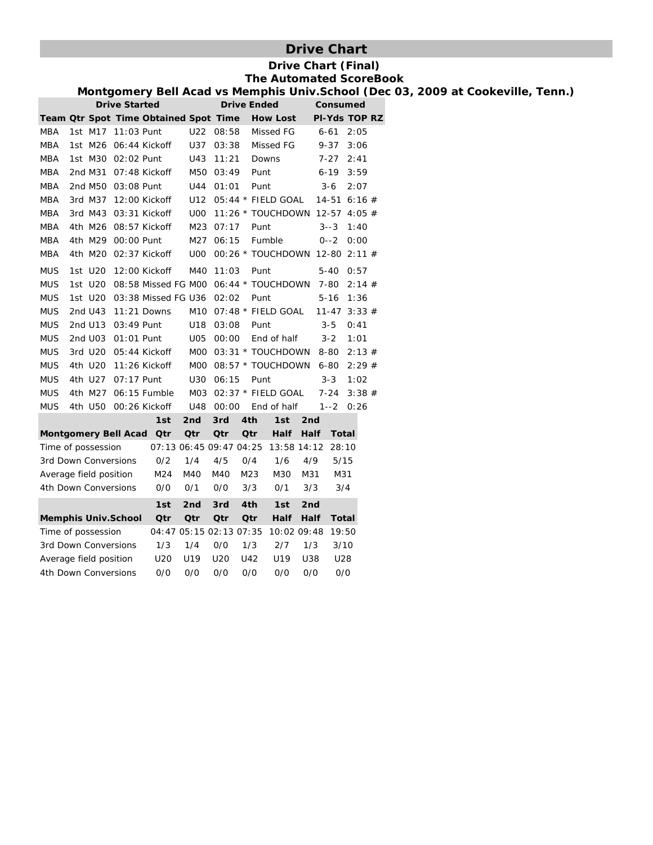# **Drive Chart**

### **Drive Chart (Final) The Automated ScoreBook**

**Montgomery Bell Acad vs Memphis Univ.School (Dec 03, 2009 at Cookeville, Tenn.)**

|                        |         | <b>Drive Started</b>       |                                       |                  |            | <b>Drive Ended</b> |                                | Consumed |                      |       |  |
|------------------------|---------|----------------------------|---------------------------------------|------------------|------------|--------------------|--------------------------------|----------|----------------------|-------|--|
|                        |         |                            | Team Qtr Spot Time Obtained Spot Time |                  |            |                    | <b>How Lost</b>                |          | <b>PI-Yds TOP RZ</b> |       |  |
| MBA                    | 1st M17 | 11:03 Punt                 |                                       | U22              | 08:58      |                    | Missed FG                      |          | $6 - 61$             | 2:05  |  |
| MBA                    | 1st M26 |                            | 06:44 Kickoff                         | U37              | 03:38      |                    | Missed FG                      |          | $9 - 37$             | 3:06  |  |
| <b>MBA</b>             | 1st M30 | 02:02 Punt                 |                                       | U43              | 11:21      |                    | Downs                          |          | 7-27                 | 2:41  |  |
| MBA                    | 2nd M31 |                            | 07:48 Kickoff                         | M50              | 03:49      | Punt               |                                |          | $6 - 19$             | 3:59  |  |
| MBA                    |         | 2nd M50 03:08 Punt         |                                       | U44              | 01:01      | Punt               |                                |          | $3-6$                | 2:07  |  |
| MBA                    | 3rd M37 |                            | 12:00 Kickoff                         | U12              |            |                    | 05:44 * FIELD GOAL             |          | $14-51$ 6:16 #       |       |  |
| <b>MBA</b>             | 3rd M43 |                            | 03:31 Kickoff                         | U <sub>0</sub>   |            |                    | 11:26 * TOUCHDOWN              |          | $12 - 57$ 4:05 #     |       |  |
| MBA                    | 4th M26 |                            | 08:57 Kickoff                         | M23              | 07:17      |                    | Punt                           |          | $3 - -3$             | 1:40  |  |
| <b>MBA</b>             | 4th M29 | 00:00 Punt                 |                                       | M27              | 06:15      |                    | Fumble                         |          | $0 - -2$             | 0:00  |  |
| <b>MBA</b>             | 4th M20 |                            | 02:37 Kickoff                         | <b>U00</b>       |            |                    | 00:26 * TOUCHDOWN 12-80 2:11 # |          |                      |       |  |
| <b>MUS</b>             | 1st U20 |                            | 12:00 Kickoff                         | M40              | 11:03      |                    | Punt                           |          | $5 - 40$             | 0:57  |  |
| <b>MUS</b>             | 1st U20 |                            | 08:58 Missed FG M00                   |                  |            |                    | 06:44 * TOUCHDOWN              |          | $7 - 80$             | 2:14# |  |
| <b>MUS</b>             | 1st U20 |                            | 03:38 Missed FG U36                   |                  | 02:02      |                    | Punt                           |          | $5 - 16$             | 1:36  |  |
| <b>MUS</b>             | 2nd U43 |                            | $11:21$ Downs                         | M10              |            |                    | 07:48 * FIELD GOAL             |          | 11-47                | 3:33# |  |
| <b>MUS</b>             | 2nd U13 | 03:49 Punt                 |                                       | U18              | 03:08      |                    | Punt                           |          | $3 - 5$              | 0:41  |  |
| <b>MUS</b>             | 2nd U03 | 01:01 Punt                 |                                       | U05              | 00:00      |                    | End of half                    |          | $3 - 2$              | 1:01  |  |
| <b>MUS</b>             | 3rd U20 |                            | 05:44 Kickoff                         | <b>MOO</b>       |            |                    | 03:31 * TOUCHDOWN              |          | 8-80                 | 2:13# |  |
| <b>MUS</b>             | 4th U20 |                            | 11:26 Kickoff                         |                  |            |                    | M00 08:57 * TOUCHDOWN          |          | $6 - 80$             | 2:29# |  |
| <b>MUS</b>             | 4th U27 | 07:17 Punt                 |                                       | U30              | 06:15      | Punt               |                                |          | $3 - 3$              | 1:02  |  |
| <b>MUS</b>             | 4th M27 |                            | 06:15 Fumble                          | M <sub>0</sub> 3 |            |                    | $02:37$ * FIELD GOAL           |          | $7 - 24$             | 3:38# |  |
| <b>MUS</b>             | 4th U50 |                            | 00:26 Kickoff                         | U48              | 00:00      |                    | End of half                    |          | $1 - 2$              | 0:26  |  |
|                        |         |                            | 1st                                   | 2nd              | 3rd        | 4th                | 1st                            | 2nd      |                      |       |  |
|                        |         | Montgomery Bell Acad       | <b>Qtr</b>                            | <b>Qtr</b>       | <b>Qtr</b> | <b>Qtr</b>         | Half                           | Half     | Total                |       |  |
| Time of possession     |         |                            | 07:13 06:45 09:47 04:25               |                  |            |                    | 13:58 14:12                    |          | 28:10                |       |  |
| 3rd Down Conversions   |         |                            | 0/2                                   | 1/4              | 4/5        | 0/4                | 1/6                            | 4/9      | 5/15                 |       |  |
| Average field position |         |                            | M <sub>24</sub>                       | M40              | M40        | M <sub>23</sub>    | M30                            | M31      | M31                  |       |  |
| 4th Down Conversions   |         |                            | 0/0                                   | 0/1              | 0/0        | 3/3                | 0/1                            | 3/3      | 3/4                  |       |  |
|                        |         |                            | 1st                                   | 2nd              | 3rd        | 4th                | 1st                            | 2nd      |                      |       |  |
|                        |         | <b>Memphis Univ.School</b> | Qtr                                   | Qtr              | <b>Qtr</b> | <b>Qtr</b>         | Half                           | Half     | Total                |       |  |
| Time of possession     |         |                            | 04:47 05:15 02:13 07:35               |                  |            |                    | 10:02 09:48                    |          | 19:50                |       |  |
| 3rd Down Conversions   |         |                            | 1/3                                   | 1/4              | 0/0        | 1/3                | 2/7                            | 1/3      | 3/10                 |       |  |
| Average field position |         |                            | U20                                   | U19              | U20        | U42                | U19                            | U38      | U28                  |       |  |
| 4th Down Conversions   |         |                            | O/O                                   | O/O              | O/O        | O/O                | 0/0                            | 0/0      | O/O                  |       |  |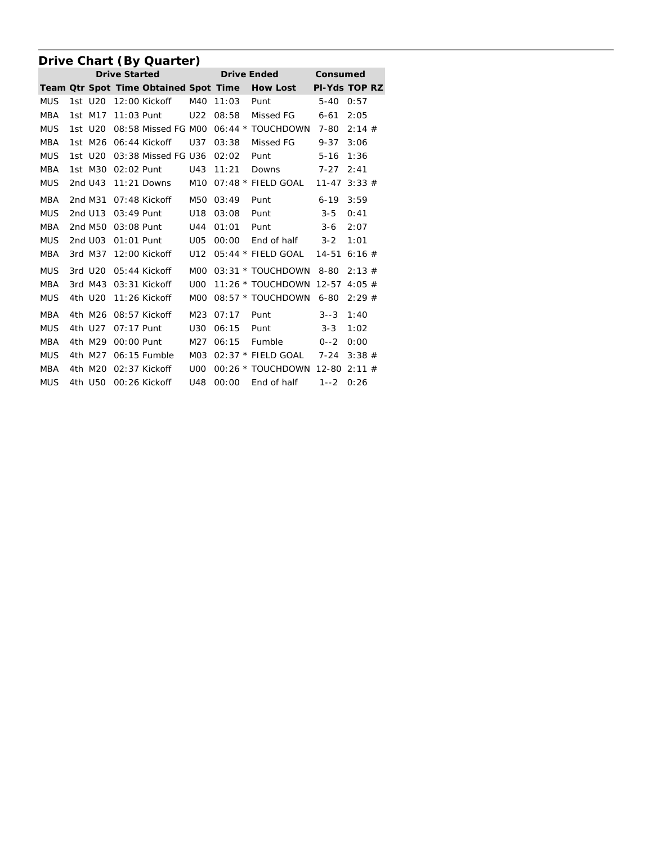# **Drive Chart (By Quarter)**

|            |                     |              | <b>Drive Started</b>                  |                  |           | <b>Drive Ended</b>                 | Consumed  |                      |
|------------|---------------------|--------------|---------------------------------------|------------------|-----------|------------------------------------|-----------|----------------------|
|            |                     |              | Team Qtr Spot Time Obtained Spot Time |                  |           | <b>How Lost</b>                    |           | <b>PI-Yds TOP RZ</b> |
| <b>MUS</b> | 1st U <sub>20</sub> |              | 12:00 Kickoff                         | M40              | 11:03     | Punt                               | $5 - 40$  | 0:57                 |
| <b>MBA</b> | 1st M17             | $11:03$ Punt |                                       | U22              | 08:58     | Missed FG                          | $6 - 61$  | 2:05                 |
| <b>MUS</b> | 1st U20             |              | 08:58 Missed FG M00                   |                  |           | 06:44 * TOUCHDOWN                  | 7-80      | 2:14#                |
| <b>MBA</b> | 1st M26             |              | 06:44 Kickoff                         | U37              | 03:38     | Missed FG                          | $9 - 37$  | 3:06                 |
| <b>MUS</b> | 1st U20             |              | 03:38 Missed FG U36                   |                  | 02:02     | Punt                               | $5 - 16$  | 1:36                 |
| MBA        | 1st M30             | 02:02 Punt   |                                       |                  | U43 11:21 | <b>Downs</b>                       | 7-27      | 2:41                 |
| <b>MUS</b> | 2nd U43             |              |                                       |                  |           | 11:21 Downs M10 07:48 * FIELD GOAL | $11 - 47$ | 3:33#                |
| <b>MBA</b> | 2nd M31             |              | 07:48 Kickoff                         | M50              | 03:49     | Punt                               | $6 - 19$  | 3:59                 |
| <b>MUS</b> | 2nd U13             | $03:49$ Punt |                                       | U18              | 03:08     | Punt                               | $3 - 5$   | 0:41                 |
| <b>MBA</b> |                     |              | 2nd M50 03:08 Punt                    | U44              | 01:01     | Punt                               | $3 - 6$   | 2:07                 |
| <b>MUS</b> | 2nd U03             |              | 01:01 Punt                            | U05              | 00:00     | End of half                        | $3 - 2$   | 1:01                 |
| <b>MBA</b> | 3rd M37             |              | 12:00 Kickoff                         | U12              |           | $05:44$ * FIELD GOAL               | $14 - 51$ | 6:16#                |
| <b>MUS</b> | 3rd U20             |              | $05:44$ Kickoff                       | M <sub>O</sub> O |           | 03:31 * TOUCHDOWN                  | 8-80      | 2:13#                |
| <b>MBA</b> | 3rd M43             |              | 03:31 Kickoff                         | U <sub>0</sub>   |           | 11:26 * TOUCHDOWN                  | $12 - 57$ | 4:05#                |
| <b>MUS</b> | 4th U20             |              | $11:26$ Kickoff                       | M <sub>0</sub>   |           | 08:57 * TOUCHDOWN 6-80             |           | 2:29#                |
| <b>MBA</b> | 4th M26             |              | 08:57 Kickoff                         |                  | M23 07:17 | Punt                               | $3 - 3$   | 1:40                 |
| <b>MUS</b> | 4th U27             | 07:17 Punt   |                                       | U30              | 06:15     | Punt                               | $3 - 3$   | 1:02                 |
| <b>MBA</b> | 4th M29             | $00:00$ Punt |                                       | M27              | 06:15     | Fumble                             | $0 - -2$  | 0:00                 |
| <b>MUS</b> | 4th M27             |              | 06:15 Fumble                          |                  |           | M03 02:37 * FIELD GOAL 7-24        |           | 3:38#                |
| MBA        | 4th M20             |              | 02:37 Kickoff                         | UOO              |           | 00:26 * TOUCHDOWN 12-80 2:11 #     |           |                      |
| <b>MUS</b> |                     |              | 4th U50 00:26 Kickoff                 |                  | U48 00:00 | End of half                        | $1 - 2$   | 0:26                 |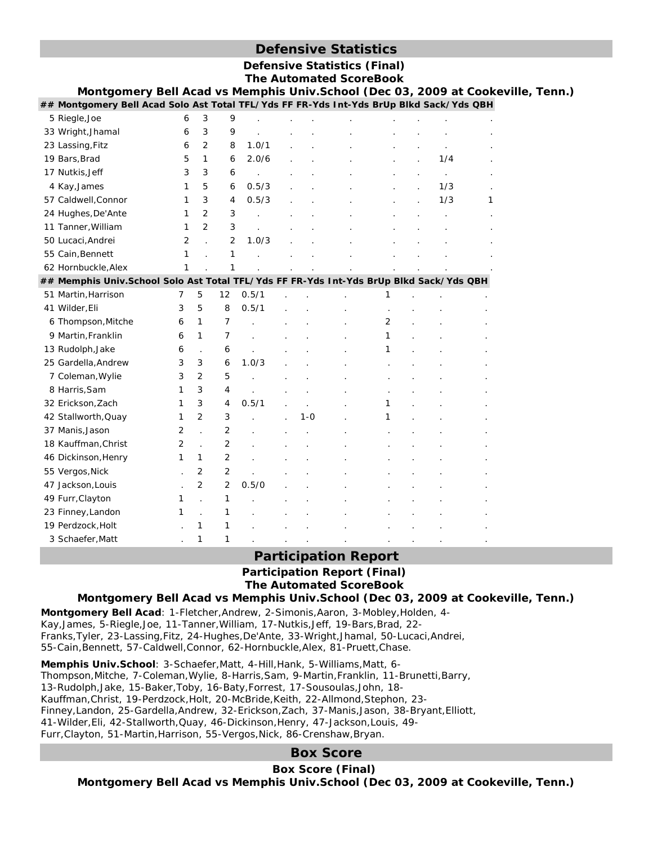# **Defensive Statistics**

|                                                                                         |                |                |                |       |         | <b>Defensive Statistics (Final)</b><br><b>The Automated ScoreBook</b> |   |     |   |  |
|-----------------------------------------------------------------------------------------|----------------|----------------|----------------|-------|---------|-----------------------------------------------------------------------|---|-----|---|--|
| Montgomery Bell Acad vs Memphis Univ.School (Dec 03, 2009 at Cookeville, Tenn.)         |                |                |                |       |         |                                                                       |   |     |   |  |
| ## Montgomery Bell Acad Solo Ast Total TFL/Yds FF FR-Yds Int-Yds BrUp Blkd Sack/Yds QBH |                |                |                |       |         |                                                                       |   |     |   |  |
| 5 Riegle, Joe                                                                           | 6              | 3              | 9              |       |         |                                                                       |   |     |   |  |
| 33 Wright, Jhamal                                                                       | 6              | 3              | 9              |       |         |                                                                       |   |     |   |  |
| 23 Lassing, Fitz                                                                        | 6              | $\overline{2}$ | 8              | 1.0/1 |         |                                                                       |   |     |   |  |
| 19 Bars, Brad                                                                           | 5              | $\mathbf{1}$   | 6              | 2.0/6 |         |                                                                       |   | 1/4 |   |  |
| 17 Nutkis, Jeff                                                                         | 3              | 3              | 6              |       |         |                                                                       |   |     |   |  |
| 4 Kay, James                                                                            | 1              | 5              | 6              | 0.5/3 |         |                                                                       |   | 1/3 |   |  |
| 57 Caldwell, Connor                                                                     | 1              | 3              | 4              | 0.5/3 |         |                                                                       |   | 1/3 | 1 |  |
| 24 Hughes, De'Ante                                                                      | 1              | $\overline{2}$ | 3              |       |         |                                                                       |   |     |   |  |
| 11 Tanner, William                                                                      | 1              | 2              | 3              |       |         |                                                                       |   |     |   |  |
| 50 Lucaci, Andrei                                                                       | $\overline{2}$ |                | 2              | 1.0/3 |         |                                                                       |   |     |   |  |
| 55 Cain, Bennett                                                                        | 1              |                | 1              |       |         |                                                                       |   |     |   |  |
| 62 Hornbuckle, Alex                                                                     | 1              |                | 1              |       |         |                                                                       |   |     |   |  |
| ## Memphis Univ.School Solo Ast Total TFL/Yds FF FR-Yds Int-Yds BrUp Blkd Sack/Yds QBH  |                |                |                |       |         |                                                                       |   |     |   |  |
| 51 Martin, Harrison                                                                     | 7              | 5              | 12             | 0.5/1 |         |                                                                       | 1 |     |   |  |
| 41 Wilder, Eli                                                                          | 3              | 5              | 8              | 0.5/1 |         |                                                                       |   |     |   |  |
| 6 Thompson, Mitche                                                                      | 6              | 1              | 7              |       |         |                                                                       | 2 |     |   |  |
| 9 Martin, Franklin                                                                      | 6              | 1              | 7              |       |         |                                                                       | 1 |     |   |  |
| 13 Rudolph, Jake                                                                        | 6              |                | 6              |       |         |                                                                       | 1 |     |   |  |
| 25 Gardella, Andrew                                                                     | 3              | 3              | 6              | 1.0/3 |         |                                                                       |   |     |   |  |
| 7 Coleman, Wylie                                                                        | 3              | 2              | 5              |       |         |                                                                       |   |     |   |  |
| 8 Harris, Sam                                                                           | 1              | 3              | 4              |       |         |                                                                       |   |     |   |  |
| 32 Erickson, Zach                                                                       | 1              | 3              | 4              | 0.5/1 |         |                                                                       | 1 |     |   |  |
| 42 Stallworth, Quay                                                                     | 1              | $\overline{2}$ | 3              |       | $1 - 0$ |                                                                       | 1 |     |   |  |
| 37 Manis, Jason                                                                         | $\overline{2}$ |                | 2              |       |         |                                                                       |   |     |   |  |
| 18 Kauffman, Christ                                                                     | $\overline{2}$ | $\overline{a}$ | $\overline{2}$ |       |         |                                                                       |   |     |   |  |
| 46 Dickinson, Henry                                                                     | 1              | 1              | 2              |       |         |                                                                       |   |     |   |  |
| 55 Vergos, Nick                                                                         |                | 2              | 2              |       |         |                                                                       |   |     |   |  |
| 47 Jackson, Louis                                                                       |                | $\overline{2}$ | $\overline{2}$ | 0.5/0 |         |                                                                       |   |     |   |  |
| 49 Furr, Clayton                                                                        | 1              |                | 1              |       |         |                                                                       |   |     |   |  |
| 23 Finney, Landon                                                                       | 1              |                | 1              |       |         |                                                                       |   |     |   |  |
| 19 Perdzock, Holt                                                                       |                | 1              | 1              |       |         |                                                                       |   |     |   |  |
| 3 Schaefer, Matt                                                                        |                | 1              | 1              |       |         |                                                                       |   |     |   |  |

# **Participation Report**

**Participation Report (Final) The Automated ScoreBook** 

**Montgomery Bell Acad vs Memphis Univ.School (Dec 03, 2009 at Cookeville, Tenn.)**

**Montgomery Bell Acad**: 1-Fletcher,Andrew, 2-Simonis,Aaron, 3-Mobley,Holden, 4- Kay,James, 5-Riegle,Joe, 11-Tanner,William, 17-Nutkis,Jeff, 19-Bars,Brad, 22- Franks,Tyler, 23-Lassing,Fitz, 24-Hughes,De'Ante, 33-Wright,Jhamal, 50-Lucaci,Andrei, 55-Cain,Bennett, 57-Caldwell,Connor, 62-Hornbuckle,Alex, 81-Pruett,Chase.

**Memphis Univ.School**: 3-Schaefer,Matt, 4-Hill,Hank, 5-Williams,Matt, 6- Thompson,Mitche, 7-Coleman,Wylie, 8-Harris,Sam, 9-Martin,Franklin, 11-Brunetti,Barry, 13-Rudolph,Jake, 15-Baker,Toby, 16-Baty,Forrest, 17-Sousoulas,John, 18- Kauffman,Christ, 19-Perdzock,Holt, 20-McBride,Keith, 22-Allmond,Stephon, 23- Finney,Landon, 25-Gardella,Andrew, 32-Erickson,Zach, 37-Manis,Jason, 38-Bryant,Elliott, 41-Wilder,Eli, 42-Stallworth,Quay, 46-Dickinson,Henry, 47-Jackson,Louis, 49- Furr,Clayton, 51-Martin,Harrison, 55-Vergos,Nick, 86-Crenshaw,Bryan.

# **Box Score**

### **Box Score (Final)**

**Montgomery Bell Acad vs Memphis Univ.School (Dec 03, 2009 at Cookeville, Tenn.)**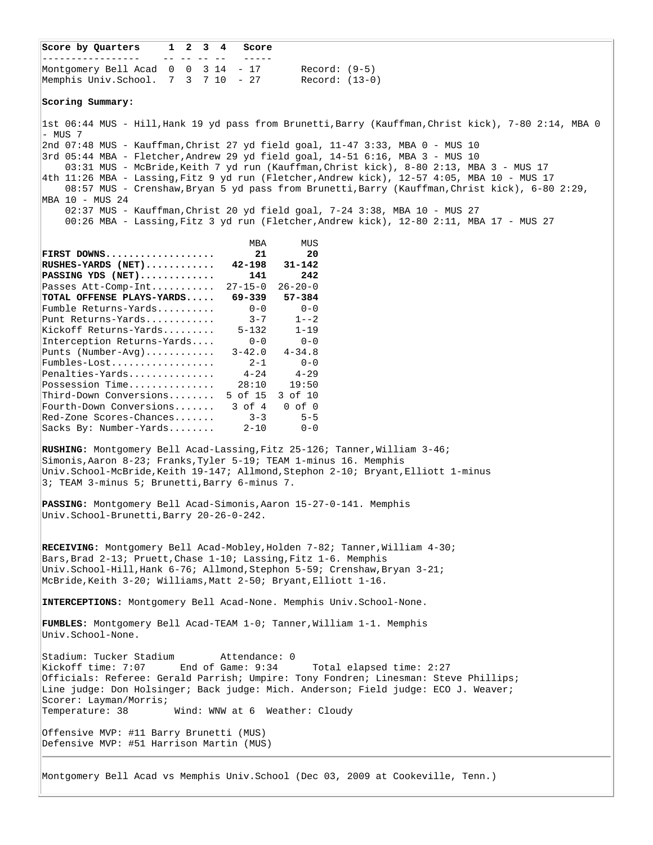**Score by Quarters 1 2 3 4 Score** ----------------- -- -- -- -- ----- Montgomery Bell Acad 0 0 3 14 - 17 Record: (9-5) Memphis Univ.School. 7 3 7 10 - 27 Record: (13-0) **Scoring Summary:** 1st 06:44 MUS - Hill,Hank 19 yd pass from Brunetti,Barry (Kauffman,Christ kick), 7-80 2:14, MBA 0 - MUS 7 2nd 07:48 MUS - Kauffman,Christ 27 yd field goal, 11-47 3:33, MBA 0 - MUS 10 3rd 05:44 MBA - Fletcher,Andrew 29 yd field goal, 14-51 6:16, MBA 3 - MUS 10 03:31 MUS - McBride,Keith 7 yd run (Kauffman,Christ kick), 8-80 2:13, MBA 3 - MUS 17 4th 11:26 MBA - Lassing,Fitz 9 yd run (Fletcher,Andrew kick), 12-57 4:05, MBA 10 - MUS 17 08:57 MUS - Crenshaw,Bryan 5 yd pass from Brunetti,Barry (Kauffman,Christ kick), 6-80 2:29, MBA 10 - MUS 24 02:37 MUS - Kauffman,Christ 20 yd field goal, 7-24 3:38, MBA 10 - MUS 27 00:26 MBA - Lassing,Fitz 3 yd run (Fletcher,Andrew kick), 12-80 2:11, MBA 17 - MUS 27 MBA MUS **FIRST DOWNS................... 21 20 RUSHES-YARDS (NET)............ 42-198 31-142 PASSING YDS (NET)............. 141 242** Passes Att-Comp-Int........... 27-15-0 26-20-0 **TOTAL OFFENSE PLAYS-YARDS..... 69-339 57-384** Fumble Returns-Yards.......... 0-0 0-0 Punt Returns-Yards............ 3-7 1--2 Kickoff Returns-Yards......... 5-132 1-19 Interception Returns-Yards.... 0-0 0-0 Punts (Number-Avg)............ 3-42.0 4-34.8 Fumbles-Lost.................. 2-1 0-0 Penalties-Yards............... 4-24 4-29 Possession Time............... 28:10 19:50 Third-Down Conversions........ 5 of 15 3 of 10 Fourth-Down Conversions....... 3 of 4 0 of 0 Red-Zone Scores-Chances....... 3-3 5-5 Sacks By: Number-Yards........ 2-10 0-0 RUSHING: Montgomery Bell Acad-Lassing, Fitz 25-126; Tanner, William 3-46; Simonis,Aaron 8-23; Franks,Tyler 5-19; TEAM 1-minus 16. Memphis Univ.School-McBride,Keith 19-147; Allmond,Stephon 2-10; Bryant,Elliott 1-minus 3; TEAM 3-minus 5; Brunetti,Barry 6-minus 7. **PASSING:** Montgomery Bell Acad-Simonis,Aaron 15-27-0-141. Memphis Univ.School-Brunetti,Barry 20-26-0-242. RECEIVING: Montgomery Bell Acad-Mobley, Holden 7-82; Tanner, William 4-30; Bars,Brad 2-13; Pruett,Chase 1-10; Lassing,Fitz 1-6. Memphis Univ.School-Hill,Hank 6-76; Allmond,Stephon 5-59; Crenshaw,Bryan 3-21; McBride,Keith 3-20; Williams,Matt 2-50; Bryant,Elliott 1-16. **INTERCEPTIONS:** Montgomery Bell Acad-None. Memphis Univ.School-None. **FUMBLES:** Montgomery Bell Acad-TEAM 1-0; Tanner,William 1-1. Memphis Univ.School-None. Stadium: Tucker Stadium attendance: 0<br>Kickoff time: 7:07 End of Game: 9:34 Kickoff time: 7:07 End of Game: 9:34 Total elapsed time: 2:27 Officials: Referee: Gerald Parrish; Umpire: Tony Fondren; Linesman: Steve Phillips; Line judge: Don Holsinger; Back judge: Mich. Anderson; Field judge: ECO J. Weaver; Scorer: Layman/Morris; Temperature: 38 Wind: WNW at 6 Weather: Cloudy Offensive MVP: #11 Barry Brunetti (MUS) Defensive MVP: #51 Harrison Martin (MUS)

Montgomery Bell Acad vs Memphis Univ.School (Dec 03, 2009 at Cookeville, Tenn.)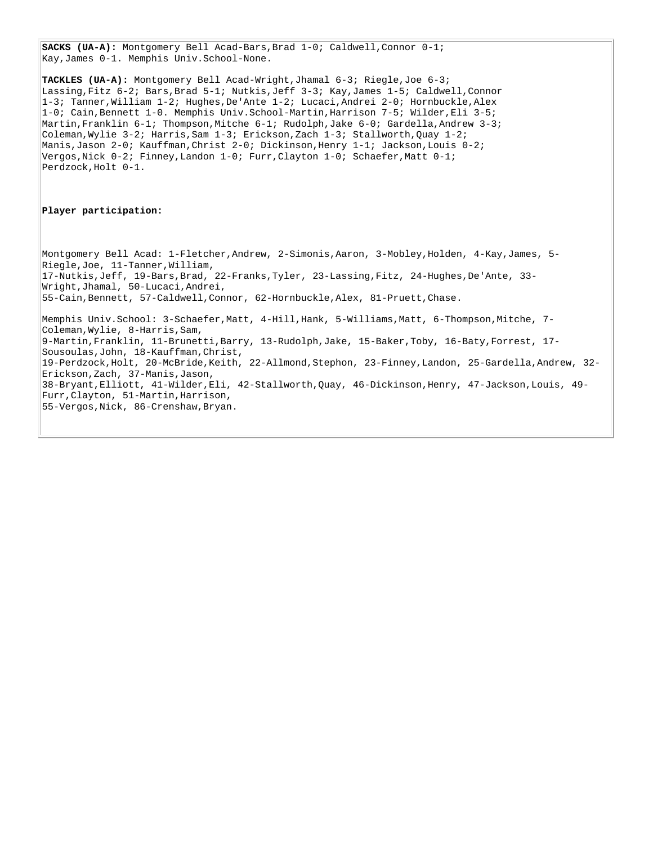**SACKS (UA-A):** Montgomery Bell Acad-Bars, Brad 1-0; Caldwell, Connor 0-1; Kay,James 0-1. Memphis Univ.School-None.

**TACKLES (UA-A):** Montgomery Bell Acad-Wright,Jhamal 6-3; Riegle,Joe 6-3; Lassing,Fitz 6-2; Bars,Brad 5-1; Nutkis,Jeff 3-3; Kay,James 1-5; Caldwell,Connor 1-3; Tanner,William 1-2; Hughes,De'Ante 1-2; Lucaci,Andrei 2-0; Hornbuckle,Alex 1-0; Cain,Bennett 1-0. Memphis Univ.School-Martin,Harrison 7-5; Wilder,Eli 3-5; Martin,Franklin 6-1; Thompson,Mitche 6-1; Rudolph,Jake 6-0; Gardella,Andrew 3-3; Coleman,Wylie 3-2; Harris,Sam 1-3; Erickson,Zach 1-3; Stallworth,Quay 1-2; Manis,Jason 2-0; Kauffman,Christ 2-0; Dickinson,Henry 1-1; Jackson,Louis 0-2; Vergos, Nick  $0-2$ ; Finney, Landon  $1-0$ ; Furr, Clayton  $1-0$ ; Schaefer, Matt  $0-1$ ; Perdzock,Holt 0-1.

#### **Player participation:**

Montgomery Bell Acad: 1-Fletcher,Andrew, 2-Simonis,Aaron, 3-Mobley,Holden, 4-Kay,James, 5- Riegle,Joe, 11-Tanner,William, 17-Nutkis,Jeff, 19-Bars,Brad, 22-Franks,Tyler, 23-Lassing,Fitz, 24-Hughes,De'Ante, 33- Wright,Jhamal, 50-Lucaci,Andrei, 55-Cain,Bennett, 57-Caldwell,Connor, 62-Hornbuckle,Alex, 81-Pruett,Chase. Memphis Univ.School: 3-Schaefer,Matt, 4-Hill,Hank, 5-Williams,Matt, 6-Thompson,Mitche, 7- Coleman,Wylie, 8-Harris,Sam, 9-Martin,Franklin, 11-Brunetti,Barry, 13-Rudolph,Jake, 15-Baker,Toby, 16-Baty,Forrest, 17- Sousoulas,John, 18-Kauffman,Christ, 19-Perdzock,Holt, 20-McBride,Keith, 22-Allmond,Stephon, 23-Finney,Landon, 25-Gardella,Andrew, 32- Erickson,Zach, 37-Manis,Jason, 38-Bryant,Elliott, 41-Wilder,Eli, 42-Stallworth,Quay, 46-Dickinson,Henry, 47-Jackson,Louis, 49- Furr,Clayton, 51-Martin,Harrison, 55-Vergos,Nick, 86-Crenshaw,Bryan.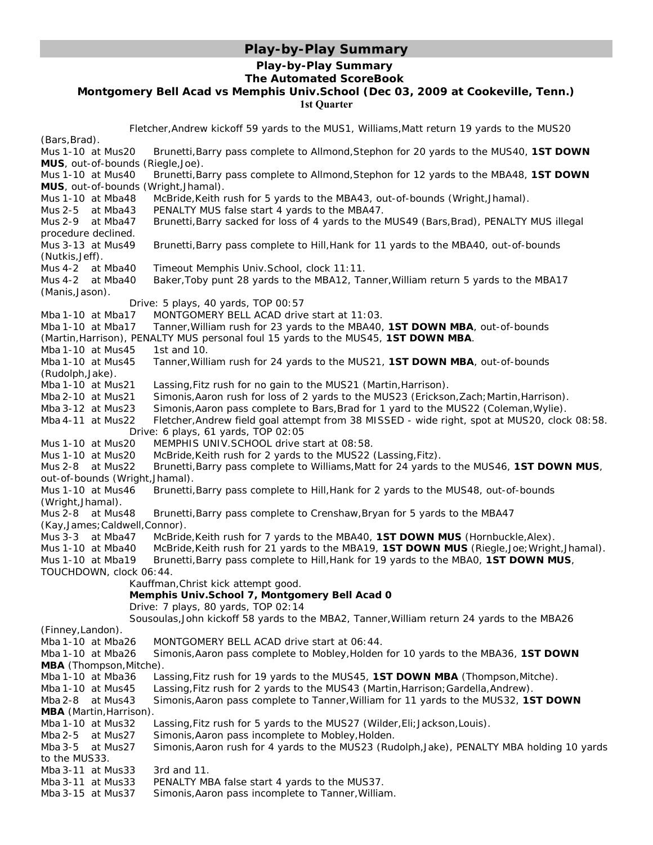# **Play-by-Play Summary**

## **Play-by-Play Summary The Automated ScoreBook**

### **Montgomery Bell Acad vs Memphis Univ.School (Dec 03, 2009 at Cookeville, Tenn.) 1st Quarter**

| Fletcher, Andrew kickoff 59 yards to the MUS1, Williams, Matt return 19 yards to the MUS20 |                                                                                              |  |
|--------------------------------------------------------------------------------------------|----------------------------------------------------------------------------------------------|--|
| (Bars, Brad).                                                                              |                                                                                              |  |
| Mus 1-10 at Mus20                                                                          | Brunetti, Barry pass complete to Allmond, Stephon for 20 yards to the MUS40, 1ST DOWN        |  |
| MUS, out-of-bounds (Riegle, Joe).                                                          |                                                                                              |  |
| Mus 1-10 at Mus40                                                                          | Brunetti, Barry pass complete to Allmond, Stephon for 12 yards to the MBA48, 1ST DOWN        |  |
| MUS, out-of-bounds (Wright, Jhamal).                                                       |                                                                                              |  |
| Mus 1-10 at Mba48                                                                          | McBride, Keith rush for 5 yards to the MBA43, out-of-bounds (Wright, Jhamal).                |  |
| Mus $2-5$ at Mba43                                                                         | PENALTY MUS false start 4 yards to the MBA47.                                                |  |
| Mus 2-9 at Mba47                                                                           | Brunetti, Barry sacked for loss of 4 yards to the MUS49 (Bars, Brad), PENALTY MUS illegal    |  |
| procedure declined.                                                                        |                                                                                              |  |
| Mus 3-13 at Mus49                                                                          | Brunetti, Barry pass complete to Hill, Hank for 11 yards to the MBA40, out-of-bounds         |  |
| (Nutkis, Jeff).                                                                            |                                                                                              |  |
| Mus $4-2$ at Mba40                                                                         | Timeout Memphis Univ. School, clock 11:11.                                                   |  |
| Mus 4-2 at Mba40                                                                           | Baker, Toby punt 28 yards to the MBA12, Tanner, William return 5 yards to the MBA17          |  |
| (Manis, Jason).                                                                            |                                                                                              |  |
|                                                                                            | Drive: 5 plays, 40 yards, TOP 00:57                                                          |  |
| Mba 1-10 at Mba17                                                                          | MONTGOMERY BELL ACAD drive start at 11:03.                                                   |  |
| Mba 1-10 at Mba17                                                                          | Tanner, William rush for 23 yards to the MBA40, 1ST DOWN MBA, out-of-bounds                  |  |
|                                                                                            | (Martin, Harrison), PENALTY MUS personal foul 15 yards to the MUS45, 1ST DOWN MBA.           |  |
| Mba 1-10 at Mus45                                                                          | 1st and 10.                                                                                  |  |
| Mba 1-10 at Mus45                                                                          | Tanner, William rush for 24 yards to the MUS21, 1ST DOWN MBA, out-of-bounds                  |  |
| (Rudolph, Jake).                                                                           |                                                                                              |  |
| Mba 1-10 at Mus21                                                                          | Lassing, Fitz rush for no gain to the MUS21 (Martin, Harrison).                              |  |
| Mba 2-10 at Mus21                                                                          | Simonis, Aaron rush for loss of 2 yards to the MUS23 (Erickson, Zach; Martin, Harrison).     |  |
| Mba 3-12 at Mus23                                                                          | Simonis, Aaron pass complete to Bars, Brad for 1 yard to the MUS22 (Coleman, Wylie).         |  |
| Mba 4-11 at Mus22                                                                          | Fletcher, Andrew field goal attempt from 38 MISSED - wide right, spot at MUS20, clock 08:58. |  |
|                                                                                            | Drive: 6 plays, 61 yards, TOP 02:05                                                          |  |
| Mus 1-10 at Mus20                                                                          | MEMPHIS UNIV.SCHOOL drive start at 08:58.                                                    |  |
| Mus 1-10 at Mus20                                                                          | McBride, Keith rush for 2 yards to the MUS22 (Lassing, Fitz).                                |  |
| Mus 2-8 at Mus22                                                                           | Brunetti, Barry pass complete to Williams, Matt for 24 yards to the MUS46, 1ST DOWN MUS,     |  |
| out-of-bounds (Wright, Jhamal).                                                            |                                                                                              |  |
| Mus 1-10 at Mus46                                                                          | Brunetti, Barry pass complete to Hill, Hank for 2 yards to the MUS48, out-of-bounds          |  |
| (Wright, Jhamal).                                                                          |                                                                                              |  |
| Mus 2-8 at Mus48                                                                           | Brunetti, Barry pass complete to Crenshaw, Bryan for 5 yards to the MBA47                    |  |
| (Kay, James; Caldwell, Connor).                                                            |                                                                                              |  |
| Mus $3-3$ at Mba47                                                                         | McBride, Keith rush for 7 yards to the MBA40, 1ST DOWN MUS (Hornbuckle, Alex).               |  |
| Mus 1-10 at Mba40                                                                          | McBride, Keith rush for 21 yards to the MBA19, 1ST DOWN MUS (Riegle, Joe; Wright, Jhamal).   |  |
| Mus 1-10 at Mba19                                                                          | Brunetti, Barry pass complete to Hill, Hank for 19 yards to the MBA0, 1ST DOWN MUS,          |  |
| TOUCHDOWN, clock 06:44.                                                                    |                                                                                              |  |
|                                                                                            | Kauffman, Christ kick attempt good.                                                          |  |
|                                                                                            | Memphis Univ.School 7, Montgomery Bell Acad 0                                                |  |
|                                                                                            | Drive: 7 plays, 80 yards, TOP 02:14                                                          |  |
|                                                                                            | Sousoulas, John kickoff 58 yards to the MBA2, Tanner, William return 24 yards to the MBA26   |  |
| (Finney, Landon).                                                                          |                                                                                              |  |
| Mba 1-10 at Mba26                                                                          | MONTGOMERY BELL ACAD drive start at 06:44.                                                   |  |
| Mba 1-10 at Mba26                                                                          | Simonis, Aaron pass complete to Mobley, Holden for 10 yards to the MBA36, 1ST DOWN           |  |
| MBA (Thompson, Mitche).                                                                    |                                                                                              |  |
| Mba 1-10 at Mba36                                                                          | Lassing, Fitz rush for 19 yards to the MUS45, 1ST DOWN MBA (Thompson, Mitche).               |  |
| Mba 1-10 at Mus45                                                                          | Lassing, Fitz rush for 2 yards to the MUS43 (Martin, Harrison; Gardella, Andrew).            |  |
| Mba 2-8 at Mus43                                                                           | Simonis, Aaron pass complete to Tanner, William for 11 yards to the MUS32, 1ST DOWN          |  |
| MBA (Martin, Harrison).                                                                    |                                                                                              |  |
| Mba 1-10 at Mus32                                                                          | Lassing, Fitz rush for 5 yards to the MUS27 (Wilder, Eli; Jackson, Louis).                   |  |
| Mba 2-5 at Mus27                                                                           | Simonis, Aaron pass incomplete to Mobley, Holden.                                            |  |
| Mba 3-5<br>at Mus27                                                                        | Simonis, Aaron rush for 4 yards to the MUS23 (Rudolph, Jake), PENALTY MBA holding 10 yards   |  |
| to the MUS33.                                                                              |                                                                                              |  |
| Mba 3-11 at Mus33                                                                          | 3rd and 11.                                                                                  |  |
| Mba 3-11 at Mus33                                                                          | PENALTY MBA false start 4 yards to the MUS37.                                                |  |
| Mba 3-15 at Mus37                                                                          | Simonis, Aaron pass incomplete to Tanner, William.                                           |  |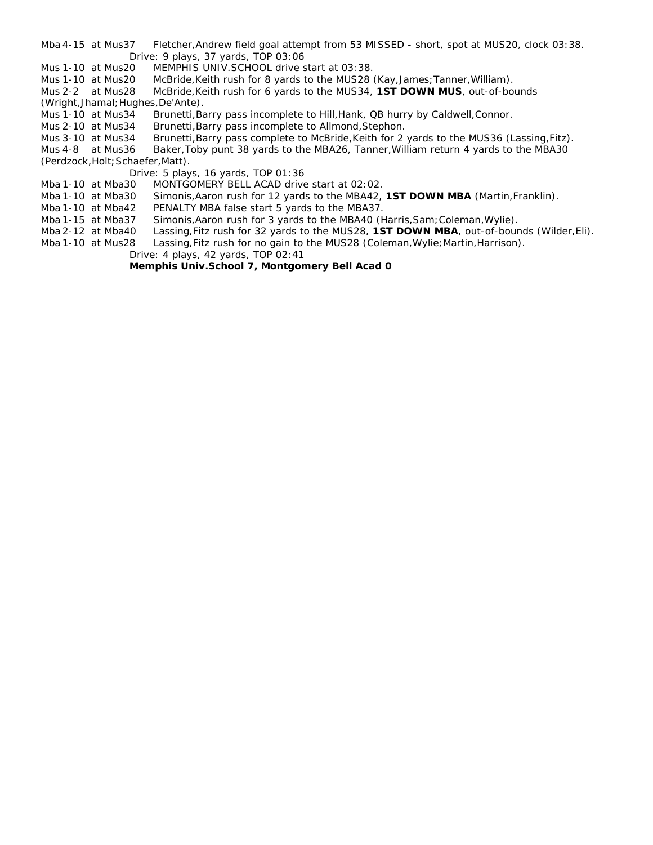- Mba 4-15 at Mus37 Fletcher, Andrew field goal attempt from 53 MISSED short, spot at MUS20, clock 03:38. Drive: 9 plays, 37 yards, TOP 03:06
- Mus 1-10 at Mus20 MEMPHIS UNIV. SCHOOL drive start at 03:38.
- Mus 1-10 at Mus20 McBride,Keith rush for 8 yards to the MUS28 (Kay,James;Tanner,William).

Mus 2-2 at Mus28 McBride,Keith rush for 6 yards to the MUS34, **1ST DOWN MUS**, out-of-bounds (Wright,Jhamal;Hughes,De'Ante).

- Mus 1-10 at Mus34 Brunetti,Barry pass incomplete to Hill,Hank, QB hurry by Caldwell,Connor.
- Mus 2-10 at Mus34 Brunetti,Barry pass incomplete to Allmond,Stephon.
- Mus 3-10 at Mus34 Brunetti, Barry pass complete to McBride, Keith for 2 yards to the MUS36 (Lassing, Fitz).
- Mus 4-8 at Mus36 Baker,Toby punt 38 yards to the MBA26, Tanner,William return 4 yards to the MBA30

(Perdzock,Holt;Schaefer,Matt).

- Drive: 5 plays, 16 yards, TOP 01:36
- Mba 1-10 at Mba30 MONTGOMERY BELL ACAD drive start at 02:02.
- Mba 1-10 at Mba30 Simonis,Aaron rush for 12 yards to the MBA42, **1ST DOWN MBA** (Martin,Franklin).
- Mba 1-10 at Mba42 *PENALTY MBA false start 5 yards to the MBA37*.
- Mba 1-15 at Mba37 Simonis, Aaron rush for 3 yards to the MBA40 (Harris, Sam; Coleman, Wylie).
- Mba 2-12 at Mba40 Lassing,Fitz rush for 32 yards to the MUS28, **1ST DOWN MBA**, out-of-bounds (Wilder,Eli).
- Mba 1-10 at Mus28 Lassing, Fitz rush for no gain to the MUS28 (Coleman, Wylie; Martin, Harrison). Drive: 4 plays, 42 yards, TOP 02:41

**Memphis Univ.School 7, Montgomery Bell Acad 0**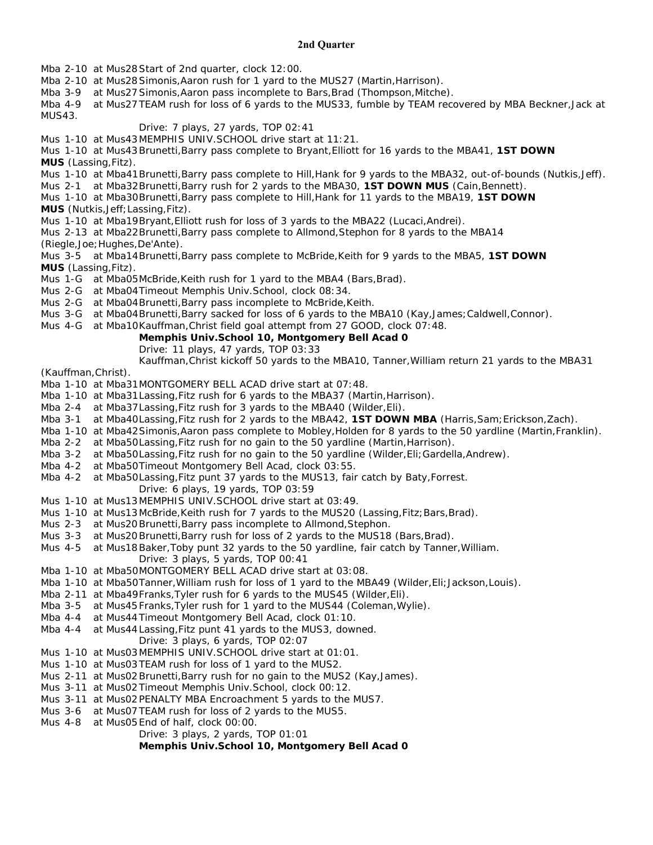### **2nd Quarter**

Mba 2-10 at Mus28Start of 2nd quarter, clock 12:00.

Mba 2-10 at Mus28Simonis,Aaron rush for 1 yard to the MUS27 (Martin,Harrison).

Mba 3-9 at Mus27 Simonis, Aaron pass incomplete to Bars, Brad (Thompson, Mitche).

Mba 4-9 at Mus27TEAM rush for loss of 6 yards to the MUS33, fumble by TEAM recovered by MBA Beckner,Jack at MUS43.

### Drive: 7 plays, 27 yards, TOP 02:41

Mus 1-10 at Mus43MEMPHIS UNIV.SCHOOL drive start at 11:21.

Mus 1-10 at Mus43Brunetti,Barry pass complete to Bryant,Elliott for 16 yards to the MBA41, **1ST DOWN MUS** (Lassing,Fitz).

Mus 1-10 at Mba41Brunetti,Barry pass complete to Hill,Hank for 9 yards to the MBA32, out-of-bounds (Nutkis,Jeff).

Mus 2-1 at Mba32Brunetti,Barry rush for 2 yards to the MBA30, **1ST DOWN MUS** (Cain,Bennett).

Mus 1-10 at Mba30Brunetti,Barry pass complete to Hill,Hank for 11 yards to the MBA19, **1ST DOWN** 

**MUS** (Nutkis,Jeff;Lassing,Fitz).

Mus 1-10 at Mba19Bryant,Elliott rush for loss of 3 yards to the MBA22 (Lucaci,Andrei).

Mus 2-13 at Mba22Brunetti,Barry pass complete to Allmond,Stephon for 8 yards to the MBA14

(Riegle,Joe;Hughes,De'Ante).

Mus 3-5 at Mba14Brunetti,Barry pass complete to McBride,Keith for 9 yards to the MBA5, **1ST DOWN MUS** (Lassing,Fitz).

Mus 1-G at Mba05McBride, Keith rush for 1 yard to the MBA4 (Bars, Brad).

Mus 2-G at Mba04Timeout Memphis Univ.School, clock 08:34.

- Mus 2-G at Mba04Brunetti, Barry pass incomplete to McBride, Keith.
- Mus 3-G at Mba04Brunetti, Barry sacked for loss of 6 yards to the MBA10 (Kay, James; Caldwell, Connor).
- Mus 4-G at Mba10Kauffman,Christ field goal attempt from 27 GOOD, clock 07:48.

### **Memphis Univ.School 10, Montgomery Bell Acad 0**

Drive: 11 plays, 47 yards, TOP 03:33

Kauffman,Christ kickoff 50 yards to the MBA10, Tanner,William return 21 yards to the MBA31

(Kauffman,Christ).

Mba 1-10 at Mba31MONTGOMERY BELL ACAD drive start at 07:48.

- Mba 1-10 at Mba31Lassing,Fitz rush for 6 yards to the MBA37 (Martin,Harrison).
- Mba 2-4 at Mba37Lassing,Fitz rush for 3 yards to the MBA40 (Wilder,Eli).
- Mba 3-1 at Mba40Lassing,Fitz rush for 2 yards to the MBA42, **1ST DOWN MBA** (Harris,Sam;Erickson,Zach).
- Mba 1-10 at Mba42Simonis, Aaron pass complete to Mobley, Holden for 8 yards to the 50 yardline (Martin, Franklin).
- Mba 2-2 at Mba50Lassing,Fitz rush for no gain to the 50 yardline (Martin,Harrison).
- Mba 3-2 at Mba50Lassing, Fitz rush for no gain to the 50 yardline (Wilder, Eli; Gardella, Andrew).
- Mba 4-2 at Mba50Timeout Montgomery Bell Acad, clock 03:55.

Mba 4-2 at Mba50Lassing,Fitz punt 37 yards to the MUS13, fair catch by Baty,Forrest.

- Drive: 6 plays, 19 yards, TOP 03:59
- Mus 1-10 at Mus13MEMPHIS UNIV.SCHOOL drive start at 03:49.
- Mus 1-10 at Mus13 McBride, Keith rush for 7 yards to the MUS20 (Lassing, Fitz; Bars, Brad).
- Mus 2-3 at Mus20Brunetti,Barry pass incomplete to Allmond,Stephon.
- Mus 3-3 at Mus20 Brunetti, Barry rush for loss of 2 yards to the MUS18 (Bars, Brad).
- Mus 4-5 at Mus18Baker,Toby punt 32 yards to the 50 yardline, fair catch by Tanner,William. Drive: 3 plays, 5 yards, TOP 00:41
- Mba 1-10 at Mba50MONTGOMERY BELL ACAD drive start at 03:08.
- Mba 1-10 at Mba50Tanner,William rush for loss of 1 yard to the MBA49 (Wilder,Eli;Jackson,Louis).
- Mba 2-11 at Mba49Franks,Tyler rush for 6 yards to the MUS45 (Wilder,Eli).
- Mba 3-5 at Mus45Franks,Tyler rush for 1 yard to the MUS44 (Coleman,Wylie).
- Mba 4-4 at Mus44Timeout Montgomery Bell Acad, clock 01:10.
- Mba 4-4 at Mus44Lassing,Fitz punt 41 yards to the MUS3, downed.
	- Drive: 3 plays, 6 yards, TOP 02:07
- Mus 1-10 at Mus03MEMPHIS UNIV.SCHOOL drive start at 01:01.
- Mus 1-10 at Mus03TEAM rush for loss of 1 yard to the MUS2.
- Mus 2-11 at Mus02Brunetti,Barry rush for no gain to the MUS2 (Kay,James).
- Mus 3-11 at Mus02Timeout Memphis Univ.School, clock 00:12.
- Mus 3-11 at Mus02*PENALTY MBA Encroachment 5 yards to the MUS7*.
- Mus 3-6 at Mus07TEAM rush for loss of 2 yards to the MUS5.
- Mus 4-8 at Mus05End of half, clock 00:00.

Drive: 3 plays, 2 yards, TOP 01:01

### **Memphis Univ.School 10, Montgomery Bell Acad 0**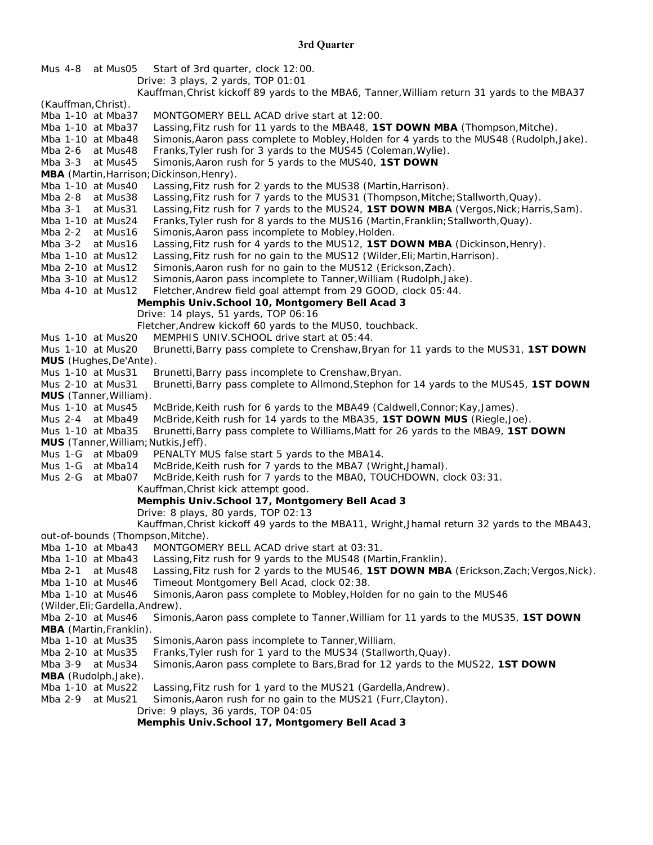| Mus 4-8 at Mus05<br>Start of 3rd quarter, clock 12:00.                                                                                                                                              |  |  |
|-----------------------------------------------------------------------------------------------------------------------------------------------------------------------------------------------------|--|--|
| Drive: 3 plays, 2 yards, TOP 01:01                                                                                                                                                                  |  |  |
| Kauffman, Christ kickoff 89 yards to the MBA6, Tanner, William return 31 yards to the MBA37                                                                                                         |  |  |
| (Kauffman, Christ).<br>MONTGOMERY BELL ACAD drive start at 12:00.<br>Mba 1-10 at Mba37                                                                                                              |  |  |
| Lassing, Fitz rush for 11 yards to the MBA48, 1ST DOWN MBA (Thompson, Mitche).<br>Mba 1-10 at Mba37                                                                                                 |  |  |
| Simonis, Aaron pass complete to Mobley, Holden for 4 yards to the MUS48 (Rudolph, Jake).<br>Mba 1-10 at Mba48                                                                                       |  |  |
| Franks, Tyler rush for 3 yards to the MUS45 (Coleman, Wylie).<br>Mba 2-6 at Mus48                                                                                                                   |  |  |
| Mba 3-3 at Mus45<br>Simonis, Aaron rush for 5 yards to the MUS40, 1ST DOWN                                                                                                                          |  |  |
| MBA (Martin, Harrison; Dickinson, Henry).                                                                                                                                                           |  |  |
| Lassing, Fitz rush for 2 yards to the MUS38 (Martin, Harrison).<br>Mba 1-10 at Mus40                                                                                                                |  |  |
| Lassing, Fitz rush for 7 yards to the MUS31 (Thompson, Mitche; Stallworth, Quay).<br>Mba 2-8 at Mus38                                                                                               |  |  |
| Lassing, Fitz rush for 7 yards to the MUS24, 1ST DOWN MBA (Vergos, Nick; Harris, Sam).<br>Mba 3-1<br>at Mus31                                                                                       |  |  |
| Mba 1-10 at Mus24<br>Franks, Tyler rush for 8 yards to the MUS16 (Martin, Franklin; Stallworth, Quay).                                                                                              |  |  |
| Mba 2-2 at Mus16<br>Simonis, Aaron pass incomplete to Mobley, Holden.                                                                                                                               |  |  |
| Lassing, Fitz rush for 4 yards to the MUS12, 1ST DOWN MBA (Dickinson, Henry).<br>Mba 3-2 at Mus16                                                                                                   |  |  |
| Lassing, Fitz rush for no gain to the MUS12 (Wilder, Eli; Martin, Harrison).<br>Mba 1-10 at Mus12                                                                                                   |  |  |
| Simonis, Aaron rush for no gain to the MUS12 (Erickson, Zach).<br>Mba 2-10 at Mus12                                                                                                                 |  |  |
| Simonis, Aaron pass incomplete to Tanner, William (Rudolph, Jake).<br>Mba 3-10 at Mus12                                                                                                             |  |  |
| Fletcher, Andrew field goal attempt from 29 GOOD, clock 05:44.<br>Mba 4-10 at Mus12                                                                                                                 |  |  |
| Memphis Univ.School 10, Montgomery Bell Acad 3                                                                                                                                                      |  |  |
| Drive: 14 plays, 51 yards, TOP 06:16                                                                                                                                                                |  |  |
| Fletcher, Andrew kickoff 60 yards to the MUS0, touchback.                                                                                                                                           |  |  |
| MEMPHIS UNIV.SCHOOL drive start at 05:44.<br>Mus 1-10 at Mus20                                                                                                                                      |  |  |
| Mus 1-10 at Mus20<br>Brunetti, Barry pass complete to Crenshaw, Bryan for 11 yards to the MUS31, 1ST DOWN                                                                                           |  |  |
| MUS (Hughes, De'Ante).                                                                                                                                                                              |  |  |
| Mus 1-10 at Mus31<br>Brunetti, Barry pass incomplete to Crenshaw, Bryan.                                                                                                                            |  |  |
| Brunetti, Barry pass complete to Allmond, Stephon for 14 yards to the MUS45, 1ST DOWN<br>Mus 2-10 at Mus31                                                                                          |  |  |
| MUS (Tanner, William).                                                                                                                                                                              |  |  |
| McBride, Keith rush for 6 yards to the MBA49 (Caldwell, Connor; Kay, James).<br>Mus 1-10 at Mus45<br>McBride, Keith rush for 14 yards to the MBA35, 1ST DOWN MUS (Riegle, Joe).<br>Mus 2-4 at Mba49 |  |  |
| Brunetti, Barry pass complete to Williams, Matt for 26 yards to the MBA9, 1ST DOWN<br>Mus 1-10 at Mba35                                                                                             |  |  |
| MUS (Tanner, William; Nutkis, Jeff).                                                                                                                                                                |  |  |
| Mus 1-G at Mba09<br>PENALTY MUS false start 5 yards to the MBA14.                                                                                                                                   |  |  |
| McBride, Keith rush for 7 yards to the MBA7 (Wright, Jhamal).<br>Mus 1-G at Mba14                                                                                                                   |  |  |
| Mus 2-G at Mba07<br>McBride, Keith rush for 7 yards to the MBAO, TOUCHDOWN, clock 03:31.                                                                                                            |  |  |
| Kauffman, Christ kick attempt good.                                                                                                                                                                 |  |  |
| Memphis Univ.School 17, Montgomery Bell Acad 3                                                                                                                                                      |  |  |
| Drive: 8 plays, 80 yards, TOP 02:13                                                                                                                                                                 |  |  |
| Kauffman, Christ kickoff 49 yards to the MBA11, Wright, Jhamal return 32 yards to the MBA43,                                                                                                        |  |  |
| out-of-bounds (Thompson, Mitche).                                                                                                                                                                   |  |  |
| MONTGOMERY BELL ACAD drive start at 03:31.<br>Mba 1-10 at Mba43                                                                                                                                     |  |  |
| Mba 1-10 at Mba43<br>Lassing, Fitz rush for 9 yards to the MUS48 (Martin, Franklin).                                                                                                                |  |  |
| Lassing, Fitz rush for 2 yards to the MUS46, 1ST DOWN MBA (Erickson, Zach; Vergos, Nick).<br>Mba 2-1<br>at Mus48                                                                                    |  |  |
| Timeout Montgomery Bell Acad, clock 02:38.<br>Mba 1-10 at Mus46                                                                                                                                     |  |  |
| Simonis, Aaron pass complete to Mobley, Holden for no gain to the MUS46<br>Mba 1-10 at Mus46                                                                                                        |  |  |
| (Wilder, Eli; Gardella, Andrew).                                                                                                                                                                    |  |  |
| Simonis, Aaron pass complete to Tanner, William for 11 yards to the MUS35, 1ST DOWN<br>Mba 2-10 at Mus46                                                                                            |  |  |
| <b>MBA</b> (Martin, Franklin).                                                                                                                                                                      |  |  |
| Simonis, Aaron pass incomplete to Tanner, William.<br>Mba 1-10 at Mus35                                                                                                                             |  |  |
| Franks, Tyler rush for 1 yard to the MUS34 (Stallworth, Quay).<br>Mba 2-10 at Mus35                                                                                                                 |  |  |
| Simonis, Aaron pass complete to Bars, Brad for 12 yards to the MUS22, 1ST DOWN<br>Mba 3-9 at Mus34                                                                                                  |  |  |
| MBA (Rudolph, Jake).                                                                                                                                                                                |  |  |
| Mba 1-10 at Mus22<br>Lassing, Fitz rush for 1 yard to the MUS21 (Gardella, Andrew).                                                                                                                 |  |  |
| Mba 2-9<br>Simonis, Aaron rush for no gain to the MUS21 (Furr, Clayton).<br>at Mus21                                                                                                                |  |  |
| Drive: 9 plays, 36 yards, TOP 04:05<br>Momphis Univ Cohool 17 Montgomery Poll Agod 2                                                                                                                |  |  |

**Memphis Univ.School 17, Montgomery Bell Acad 3**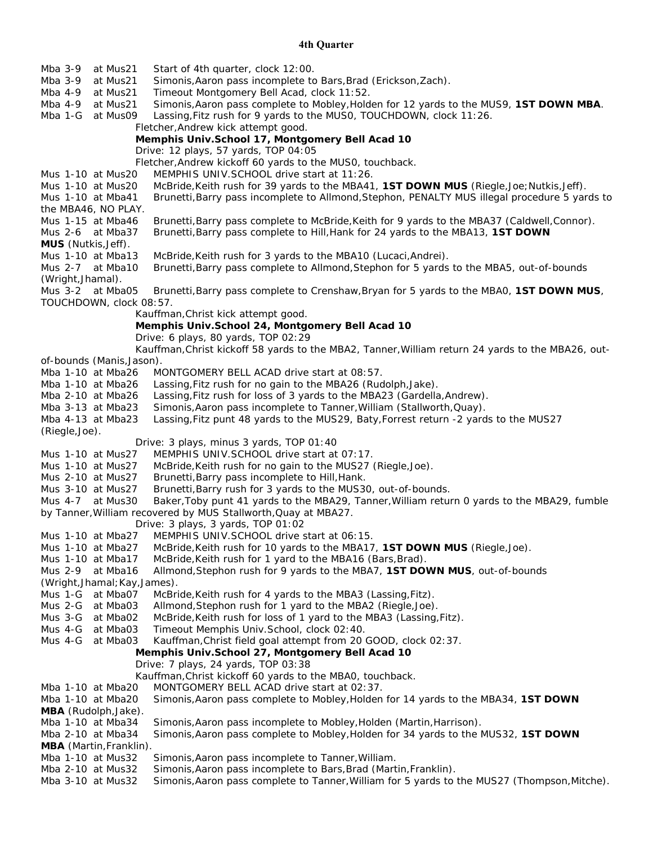### **4th Quarter**

| Mba 3-9<br>at Mus21                    | Start of 4th quarter, clock 12:00.                                                                                                      |  |
|----------------------------------------|-----------------------------------------------------------------------------------------------------------------------------------------|--|
| Mba 3-9<br>at Mus21                    | Simonis, Aaron pass incomplete to Bars, Brad (Erickson, Zach).                                                                          |  |
| Mba 4-9<br>at Mus21                    | Timeout Montgomery Bell Acad, clock 11:52.                                                                                              |  |
| Mba 4-9<br>at Mus21                    | Simonis, Aaron pass complete to Mobley, Holden for 12 yards to the MUS9, 1ST DOWN MBA.                                                  |  |
| Mba 1-G<br>at Mus09                    | Lassing, Fitz rush for 9 yards to the MUS0, TOUCHDOWN, clock 11:26.                                                                     |  |
|                                        | Fletcher, Andrew kick attempt good.                                                                                                     |  |
|                                        | Memphis Univ.School 17, Montgomery Bell Acad 10                                                                                         |  |
|                                        | Drive: 12 plays, 57 yards, TOP 04:05                                                                                                    |  |
| Mus 1-10 at Mus20                      | Fletcher, Andrew kickoff 60 yards to the MUS0, touchback.<br>MEMPHIS UNIV.SCHOOL drive start at 11:26.                                  |  |
| Mus 1-10 at Mus20                      | McBride, Keith rush for 39 yards to the MBA41, 1ST DOWN MUS (Riegle, Joe; Nutkis, Jeff).                                                |  |
| Mus 1-10 at Mba41                      | Brunetti, Barry pass incomplete to Allmond, Stephon, PENALTY MUS illegal procedure 5 yards to                                           |  |
| the MBA46, NO PLAY.                    |                                                                                                                                         |  |
| Mus 1-15 at Mba46                      | Brunetti, Barry pass complete to McBride, Keith for 9 yards to the MBA37 (Caldwell, Connor).                                            |  |
| Mus 2-6 at Mba37                       | Brunetti, Barry pass complete to Hill, Hank for 24 yards to the MBA13, 1ST DOWN                                                         |  |
| MUS (Nutkis, Jeff).                    |                                                                                                                                         |  |
| Mus 1-10 at Mba13                      | McBride, Keith rush for 3 yards to the MBA10 (Lucaci, Andrei).                                                                          |  |
| Mus 2-7 at Mba10                       | Brunetti, Barry pass complete to Allmond, Stephon for 5 yards to the MBA5, out-of-bounds                                                |  |
| (Wright, Jhamal).                      |                                                                                                                                         |  |
| Mus 3-2 at Mba05                       | Brunetti, Barry pass complete to Crenshaw, Bryan for 5 yards to the MBA0, 1ST DOWN MUS,                                                 |  |
| TOUCHDOWN, clock 08:57.                |                                                                                                                                         |  |
|                                        | Kauffman, Christ kick attempt good.                                                                                                     |  |
|                                        | Memphis Univ.School 24, Montgomery Bell Acad 10                                                                                         |  |
|                                        | Drive: 6 plays, 80 yards, TOP 02:29                                                                                                     |  |
|                                        | Kauffman, Christ kickoff 58 yards to the MBA2, Tanner, William return 24 yards to the MBA26, out-                                       |  |
| of-bounds (Manis, Jason).              |                                                                                                                                         |  |
| Mba 1-10 at Mba26<br>Mba 1-10 at Mba26 | MONTGOMERY BELL ACAD drive start at 08:57.                                                                                              |  |
| Mba 2-10 at Mba26                      | Lassing, Fitz rush for no gain to the MBA26 (Rudolph, Jake).<br>Lassing, Fitz rush for loss of 3 yards to the MBA23 (Gardella, Andrew). |  |
| Mba 3-13 at Mba23                      | Simonis, Aaron pass incomplete to Tanner, William (Stallworth, Quay).                                                                   |  |
| Mba 4-13 at Mba23                      | Lassing, Fitz punt 48 yards to the MUS29, Baty, Forrest return -2 yards to the MUS27                                                    |  |
| (Riegle, Joe).                         |                                                                                                                                         |  |
|                                        | Drive: 3 plays, minus 3 yards, TOP 01:40                                                                                                |  |
| Mus 1-10 at Mus27                      | MEMPHIS UNIV.SCHOOL drive start at 07:17.                                                                                               |  |
| Mus 1-10 at Mus27                      | McBride, Keith rush for no gain to the MUS27 (Riegle, Joe).                                                                             |  |
| Mus 2-10 at Mus27                      | Brunetti, Barry pass incomplete to Hill, Hank.                                                                                          |  |
| Mus 3-10 at Mus27                      | Brunetti, Barry rush for 3 yards to the MUS30, out-of-bounds.                                                                           |  |
| Mus 4-7 at Mus30                       | Baker, Toby punt 41 yards to the MBA29, Tanner, William return 0 yards to the MBA29, fumble                                             |  |
|                                        | by Tanner, William recovered by MUS Stallworth, Quay at MBA27.                                                                          |  |
|                                        | Drive: 3 plays, 3 yards, TOP 01:02                                                                                                      |  |
| Mus 1-10 at Mba27                      | MEMPHIS UNIV.SCHOOL drive start at 06:15.                                                                                               |  |
| Mus 1-10 at Mba27                      | McBride, Keith rush for 10 yards to the MBA17, 1ST DOWN MUS (Riegle, Joe).                                                              |  |
| Mus 1-10 at Mba17                      | McBride, Keith rush for 1 yard to the MBA16 (Bars, Brad).                                                                               |  |
| at Mba16<br>Mus 2-9                    | Allmond, Stephon rush for 9 yards to the MBA7, 1ST DOWN MUS, out-of-bounds                                                              |  |
| (Wright, Jhamal; Kay, James).          |                                                                                                                                         |  |
| Mus 1-G at Mba07<br>Mus 2-G at Mba03   | McBride, Keith rush for 4 yards to the MBA3 (Lassing, Fitz).<br>Allmond, Stephon rush for 1 yard to the MBA2 (Riegle, Joe).             |  |
| Mus 3-G<br>at Mba02                    | McBride, Keith rush for loss of 1 yard to the MBA3 (Lassing, Fitz).                                                                     |  |
| Mus 4-G at Mba03                       | Timeout Memphis Univ.School, clock 02:40.                                                                                               |  |
| Mus 4-G at Mba03                       | Kauffman, Christ field goal attempt from 20 GOOD, clock 02:37.                                                                          |  |
|                                        | Memphis Univ.School 27, Montgomery Bell Acad 10                                                                                         |  |
|                                        | Drive: 7 plays, 24 yards, TOP 03:38                                                                                                     |  |
|                                        | Kauffman, Christ kickoff 60 yards to the MBA0, touchback.                                                                               |  |
| Mba 1-10 at Mba20                      | MONTGOMERY BELL ACAD drive start at 02:37.                                                                                              |  |
| Mba 1-10 at Mba20                      | Simonis, Aaron pass complete to Mobley, Holden for 14 yards to the MBA34, 1ST DOWN                                                      |  |
| <b>MBA</b> (Rudolph, Jake).            |                                                                                                                                         |  |
| Mba 1-10 at Mba34                      | Simonis, Aaron pass incomplete to Mobley, Holden (Martin, Harrison).                                                                    |  |
| Mba 2-10 at Mba34                      | Simonis, Aaron pass complete to Mobley, Holden for 34 yards to the MUS32, 1ST DOWN                                                      |  |
| <b>MBA</b> (Martin, Franklin).         |                                                                                                                                         |  |
| Mba 1-10 at Mus32                      | Simonis, Aaron pass incomplete to Tanner, William.                                                                                      |  |
| Mba 2-10 at Mus32                      | Simonis, Aaron pass incomplete to Bars, Brad (Martin, Franklin).                                                                        |  |
| Mba 3-10 at Mus32                      | Simonis, Aaron pass complete to Tanner, William for 5 yards to the MUS27 (Thompson, Mitche).                                            |  |